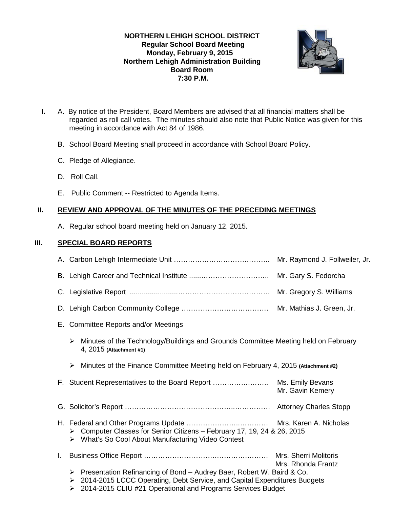## **NORTHERN LEHIGH SCHOOL DISTRICT Regular School Board Meeting Monday, February 9, 2015 Northern Lehigh Administration Building Board Room 7:30 P.M.**



- **I.** A. By notice of the President, Board Members are advised that all financial matters shall be regarded as roll call votes. The minutes should also note that Public Notice was given for this meeting in accordance with Act 84 of 1986.
	- B. School Board Meeting shall proceed in accordance with School Board Policy.
	- C. Pledge of Allegiance.
	- D. Roll Call.
	- E. Public Comment -- Restricted to Agenda Items.

# **II. REVIEW AND APPROVAL OF THE MINUTES OF THE PRECEDING MEETINGS**

A. Regular school board meeting held on January 12, 2015.

# **III. SPECIAL BOARD REPORTS**

|    |                                                                                                                                                | Mr. Raymond J. Follweiler, Jr.              |  |  |
|----|------------------------------------------------------------------------------------------------------------------------------------------------|---------------------------------------------|--|--|
|    |                                                                                                                                                | Mr. Gary S. Fedorcha                        |  |  |
|    |                                                                                                                                                |                                             |  |  |
|    |                                                                                                                                                |                                             |  |  |
|    | E. Committee Reports and/or Meetings                                                                                                           |                                             |  |  |
|    | Minutes of the Technology/Buildings and Grounds Committee Meeting held on February<br>➤<br>4, 2015 (Attachment #1)                             |                                             |  |  |
|    | > Minutes of the Finance Committee Meeting held on February 4, 2015 (Attachment #2)                                                            |                                             |  |  |
|    |                                                                                                                                                | Mr. Gavin Kemery                            |  |  |
|    |                                                                                                                                                |                                             |  |  |
|    | ▶ Computer Classes for Senior Citizens - February 17, 19, 24 & 26, 2015<br>> What's So Cool About Manufacturing Video Contest                  |                                             |  |  |
| Ι. | Presentation Refinancing of Bond - Audrey Baer, Robert W. Baird & Co.<br>➤                                                                     | Mrs. Sherri Molitoris<br>Mrs. Rhonda Frantz |  |  |
|    | 2014-2015 LCCC Operating, Debt Service, and Capital Expenditures Budgets<br>➤<br>▶ 2014-2015 CLIU #21 Operational and Programs Services Budget |                                             |  |  |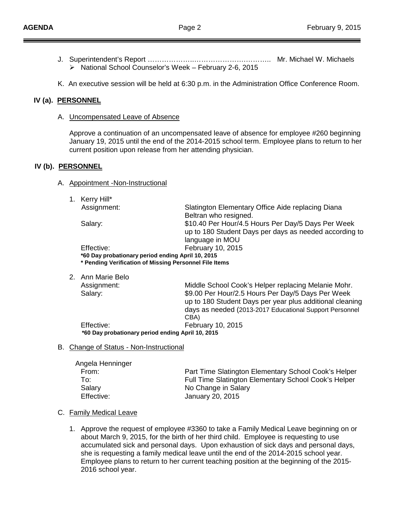- J. Superintendent's Report ………………..………………….……….. Mr. Michael W. Michaels  $\triangleright$  National School Counselor's Week – February 2-6, 2015
- K. An executive session will be held at 6:30 p.m. in the Administration Office Conference Room.

#### **IV (a). PERSONNEL**

A. Uncompensated Leave of Absence

Approve a continuation of an uncompensated leave of absence for employee #260 beginning January 19, 2015 until the end of the 2014-2015 school term. Employee plans to return to her current position upon release from her attending physician.

#### **IV (b). PERSONNEL**

#### A. Appointment -Non-Instructional

| 1. Kerry Hill*                                         |                                                        |  |
|--------------------------------------------------------|--------------------------------------------------------|--|
| Assignment:                                            | Slatington Elementary Office Aide replacing Diana      |  |
|                                                        | Beltran who resigned.                                  |  |
| Salary:                                                | \$10.40 Per Hour/4.5 Hours Per Day/5 Days Per Week     |  |
|                                                        | up to 180 Student Days per days as needed according to |  |
|                                                        | language in MOU                                        |  |
| Effective:                                             | February 10, 2015                                      |  |
| *60 Day probationary period ending April 10, 2015      |                                                        |  |
| * Pending Verification of Missing Personnel File Items |                                                        |  |

2. Ann Marie Belo

Assignment: Middle School Cook's Helper replacing Melanie Mohr. Salary: **\$9.00 Per Hour/2.5 Hours Per Day/5 Days Per Week** up to 180 Student Days per year plus additional cleaning days as needed (2013-2017 Educational Support Personnel CBA) Effective: February 10, 2015

**\*60 Day probationary period ending April 10, 2015**

B. Change of Status - Non-Instructional

| Angela Henninger |                                                      |
|------------------|------------------------------------------------------|
| From:            | Part Time Slatington Elementary School Cook's Helper |
| To:              | Full Time Slatington Elementary School Cook's Helper |
| Salary           | No Change in Salary                                  |
| Effective:       | January 20, 2015                                     |

#### C. Family Medical Leave

1. Approve the request of employee #3360 to take a Family Medical Leave beginning on or about March 9, 2015, for the birth of her third child. Employee is requesting to use accumulated sick and personal days. Upon exhaustion of sick days and personal days, she is requesting a family medical leave until the end of the 2014-2015 school year. Employee plans to return to her current teaching position at the beginning of the 2015- 2016 school year.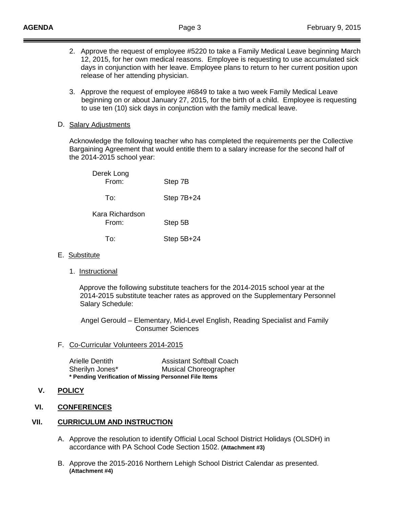- 2. Approve the request of employee #5220 to take a Family Medical Leave beginning March 12, 2015, for her own medical reasons. Employee is requesting to use accumulated sick days in conjunction with her leave. Employee plans to return to her current position upon release of her attending physician.
- 3. Approve the request of employee #6849 to take a two week Family Medical Leave beginning on or about January 27, 2015, for the birth of a child. Employee is requesting to use ten (10) sick days in conjunction with the family medical leave.
- D. Salary Adjustments

Acknowledge the following teacher who has completed the requirements per the Collective Bargaining Agreement that would entitle them to a salary increase for the second half of the 2014-2015 school year:

| Derek Long<br>From:      | Step 7B      |
|--------------------------|--------------|
| To:                      | Step 7B+24   |
| Kara Richardson<br>From: | Step 5B      |
| To:                      | Step $5B+24$ |

# E. **Substitute**

1. Instructional

 Approve the following substitute teachers for the 2014-2015 school year at the 2014-2015 substitute teacher rates as approved on the Supplementary Personnel Salary Schedule:

Angel Gerould – Elementary, Mid-Level English, Reading Specialist and Family Consumer Sciences

# F. Co-Curricular Volunteers 2014-2015

|                 | * Pending Verification of Missing Personnel File Items |  |
|-----------------|--------------------------------------------------------|--|
| Sherilyn Jones* | <b>Musical Choreographer</b>                           |  |
| Arielle Dentith | <b>Assistant Softball Coach</b>                        |  |

## **V. POLICY**

## **VI. CONFERENCES**

## **VII. CURRICULUM AND INSTRUCTION**

- A. Approve the resolution to identify Official Local School District Holidays (OLSDH) in accordance with PA School Code Section 1502. **(Attachment #3)**
- B. Approve the 2015-2016 Northern Lehigh School District Calendar as presented. **(Attachment #4)**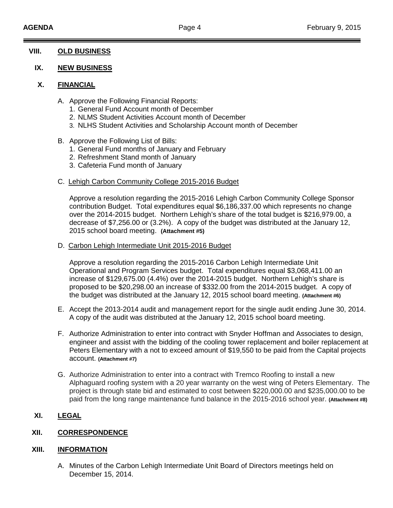#### **VIII. OLD BUSINESS**

#### **IX. NEW BUSINESS**

#### **X. FINANCIAL**

- A. Approve the Following Financial Reports:
	- 1. General Fund Account month of December
	- 2. NLMS Student Activities Account month of December
	- 3. NLHS Student Activities and Scholarship Account month of December
- B. Approve the Following List of Bills:
	- 1. General Fund months of January and February
	- 2. Refreshment Stand month of January
	- 3. Cafeteria Fund month of January
- C. Lehigh Carbon Community College 2015-2016 Budget

Approve a resolution regarding the 2015-2016 Lehigh Carbon Community College Sponsor contribution Budget. Total expenditures equal \$6,186,337.00 which represents no change over the 2014-2015 budget. Northern Lehigh's share of the total budget is \$216,979.00, a decrease of \$7,256.00 or (3.2%). A copy of the budget was distributed at the January 12, 2015 school board meeting. **(Attachment #5)**

D. Carbon Lehigh Intermediate Unit 2015-2016 Budget

Approve a resolution regarding the 2015-2016 Carbon Lehigh Intermediate Unit Operational and Program Services budget. Total expenditures equal \$3,068,411.00 an increase of \$129,675.00 (4.4%) over the 2014-2015 budget. Northern Lehigh's share is proposed to be \$20,298.00 an increase of \$332.00 from the 2014-2015 budget. A copy of the budget was distributed at the January 12, 2015 school board meeting. **(Attachment #6)**

- E. Accept the 2013-2014 audit and management report for the single audit ending June 30, 2014. A copy of the audit was distributed at the January 12, 2015 school board meeting.
- F. Authorize Administration to enter into contract with Snyder Hoffman and Associates to design, engineer and assist with the bidding of the cooling tower replacement and boiler replacement at Peters Elementary with a not to exceed amount of \$19,550 to be paid from the Capital projects account. **(Attachment #7)**
- G. Authorize Administration to enter into a contract with Tremco Roofing to install a new Alphaguard roofing system with a 20 year warranty on the west wing of Peters Elementary. The project is through state bid and estimated to cost between \$220,000.00 and \$235,000.00 to be paid from the long range maintenance fund balance in the 2015-2016 school year. **(Attachment #8)**

## **XI. LEGAL**

## **XII. CORRESPONDENCE**

## **XIII. INFORMATION**

A. Minutes of the Carbon Lehigh Intermediate Unit Board of Directors meetings held on December 15, 2014.